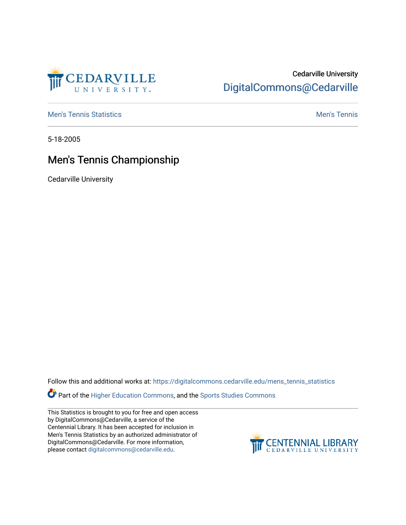

## Cedarville University [DigitalCommons@Cedarville](https://digitalcommons.cedarville.edu/)

**[Men's Tennis Statistics](https://digitalcommons.cedarville.edu/mens_tennis_statistics) Mental According to the Control of Control According Mental Men's Tennis** 

5-18-2005

# Men's Tennis Championship

Cedarville University

Follow this and additional works at: [https://digitalcommons.cedarville.edu/mens\\_tennis\\_statistics](https://digitalcommons.cedarville.edu/mens_tennis_statistics?utm_source=digitalcommons.cedarville.edu%2Fmens_tennis_statistics%2F625&utm_medium=PDF&utm_campaign=PDFCoverPages)

**Part of the [Higher Education Commons,](http://network.bepress.com/hgg/discipline/1245?utm_source=digitalcommons.cedarville.edu%2Fmens_tennis_statistics%2F625&utm_medium=PDF&utm_campaign=PDFCoverPages) and the Sports Studies Commons** 

This Statistics is brought to you for free and open access by DigitalCommons@Cedarville, a service of the Centennial Library. It has been accepted for inclusion in Men's Tennis Statistics by an authorized administrator of DigitalCommons@Cedarville. For more information, please contact [digitalcommons@cedarville.edu](mailto:digitalcommons@cedarville.edu).